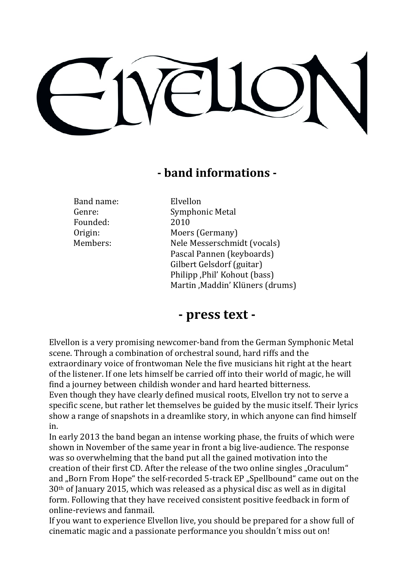## **- band informations -**

Band name: Elvellon Founded: 2010

Genre: Symphonic Metal Origin: Moers (Germany) Members: Nele Messerschmidt (vocals) Pascal Pannen (keyboards) Gilbert Gelsdorf (guitar) Philipp ,Phil' Kohout (bass) Martin , Maddin' Klüners (drums)

## **- press text -**

Elvellon is a very promising newcomer-band from the German Symphonic Metal scene. Through a combination of orchestral sound, hard riffs and the extraordinary voice of frontwoman Nele the five musicians hit right at the heart of the listener. If one lets himself be carried off into their world of magic, he will find a journey between childish wonder and hard hearted bitterness. Even though they have clearly defined musical roots, Elvellon try not to serve a specific scene, but rather let themselves be guided by the music itself. Their lyrics show a range of snapshots in a dreamlike story, in which anyone can find himself in. 

In early 2013 the band began an intense working phase, the fruits of which were shown in November of the same year in front a big live-audience. The response was so overwhelming that the band put all the gained motivation into the creation of their first CD. After the release of the two online singles "Oraculum" and "Born From Hope" the self-recorded 5-track EP "Spellbound" came out on the  $30<sup>th</sup>$  of January 2015, which was released as a physical disc as well as in digital form. Following that they have received consistent positive feedback in form of online-reviews and fanmail.

If you want to experience Elvellon live, you should be prepared for a show full of cinematic magic and a passionate performance you shouldn't miss out on!